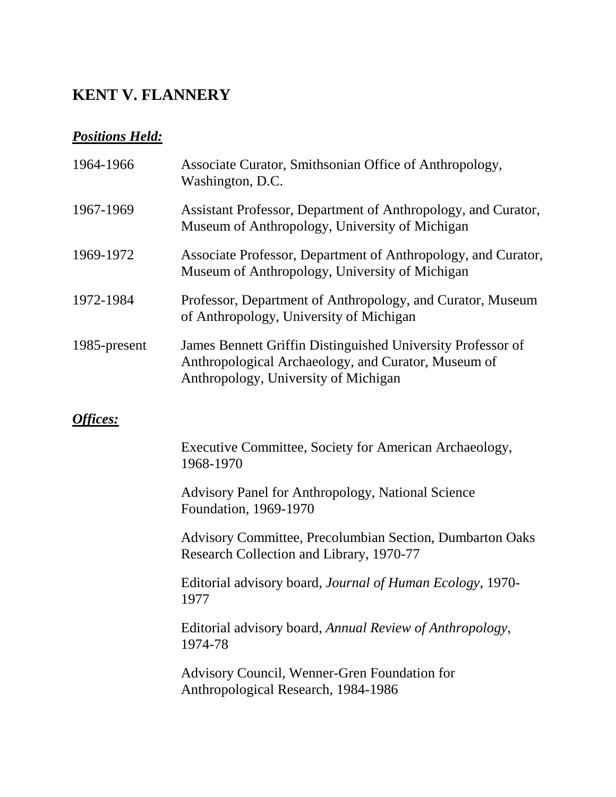### **KENT V. FLANNERY**

### *Positions Held:*

| 1964-1966    | Associate Curator, Smithsonian Office of Anthropology,<br>Washington, D.C.                                                                                 |
|--------------|------------------------------------------------------------------------------------------------------------------------------------------------------------|
| 1967-1969    | Assistant Professor, Department of Anthropology, and Curator,<br>Museum of Anthropology, University of Michigan                                            |
| 1969-1972    | Associate Professor, Department of Anthropology, and Curator,<br>Museum of Anthropology, University of Michigan                                            |
| 1972-1984    | Professor, Department of Anthropology, and Curator, Museum<br>of Anthropology, University of Michigan                                                      |
| 1985-present | James Bennett Griffin Distinguished University Professor of<br>Anthropological Archaeology, and Curator, Museum of<br>Anthropology, University of Michigan |

#### *Offices:*

Executive Committee, Society for American Archaeology, 1968-1970

Advisory Panel for Anthropology, National Science Foundation, 1969-1970

Advisory Committee, Precolumbian Section, Dumbarton Oaks Research Collection and Library, 1970-77

Editorial advisory board, *Journal of Human Ecology*, 1970- 1977

Editorial advisory board, *Annual Review of Anthropology*, 1974-78

Advisory Council, Wenner-Gren Foundation for Anthropological Research, 1984-1986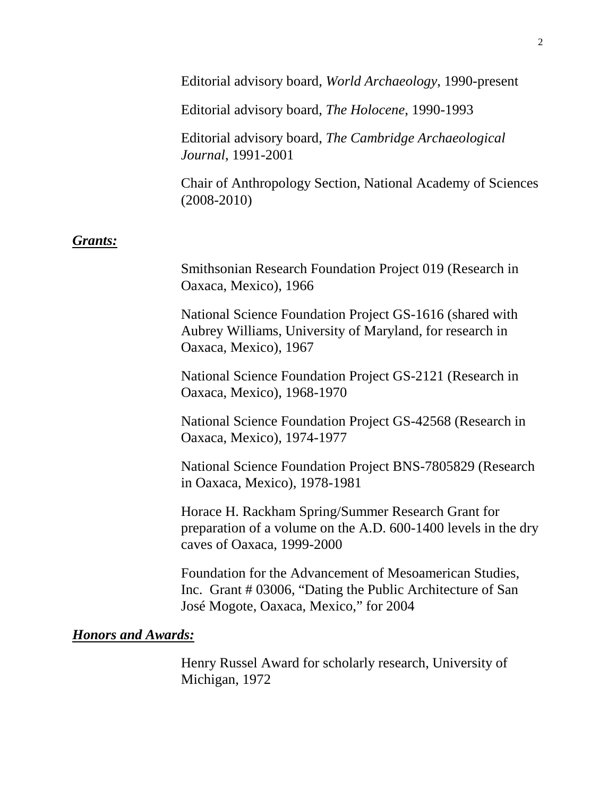Editorial advisory board, *World Archaeology*, 1990-present

Editorial advisory board, *The Holocene*, 1990-1993

Editorial advisory board, *The Cambridge Archaeological Journal*, 1991-2001

Chair of Anthropology Section, National Academy of Sciences (2008-2010)

#### *Grants:*

Smithsonian Research Foundation Project 019 (Research in Oaxaca, Mexico), 1966

National Science Foundation Project GS-1616 (shared with Aubrey Williams, University of Maryland, for research in Oaxaca, Mexico), 1967

National Science Foundation Project GS-2121 (Research in Oaxaca, Mexico), 1968-1970

National Science Foundation Project GS-42568 (Research in Oaxaca, Mexico), 1974-1977

National Science Foundation Project BNS-7805829 (Research in Oaxaca, Mexico), 1978-1981

Horace H. Rackham Spring/Summer Research Grant for preparation of a volume on the A.D. 600-1400 levels in the dry caves of Oaxaca, 1999-2000

Foundation for the Advancement of Mesoamerican Studies, Inc. Grant # 03006, "Dating the Public Architecture of San José Mogote, Oaxaca, Mexico," for 2004

#### *Honors and Awards:*

Henry Russel Award for scholarly research, University of Michigan, 1972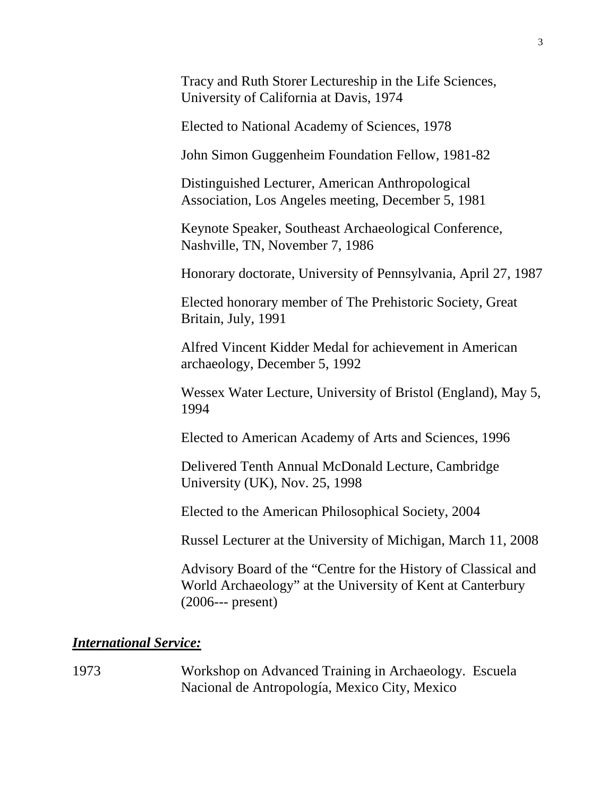Tracy and Ruth Storer Lectureship in the Life Sciences, University of California at Davis, 1974

Elected to National Academy of Sciences, 1978

John Simon Guggenheim Foundation Fellow, 1981-82

Distinguished Lecturer, American Anthropological Association, Los Angeles meeting, December 5, 1981

Keynote Speaker, Southeast Archaeological Conference, Nashville, TN, November 7, 1986

Honorary doctorate, University of Pennsylvania, April 27, 1987

Elected honorary member of The Prehistoric Society, Great Britain, July, 1991

Alfred Vincent Kidder Medal for achievement in American archaeology, December 5, 1992

Wessex Water Lecture, University of Bristol (England), May 5, 1994

Elected to American Academy of Arts and Sciences, 1996

Delivered Tenth Annual McDonald Lecture, Cambridge University (UK), Nov. 25, 1998

Elected to the American Philosophical Society, 2004

Russel Lecturer at the University of Michigan, March 11, 2008

Advisory Board of the "Centre for the History of Classical and World Archaeology" at the University of Kent at Canterbury (2006--- present)

#### *International Service:*

1973 Workshop on Advanced Training in Archaeology. Escuela Nacional de Antropología, Mexico City, Mexico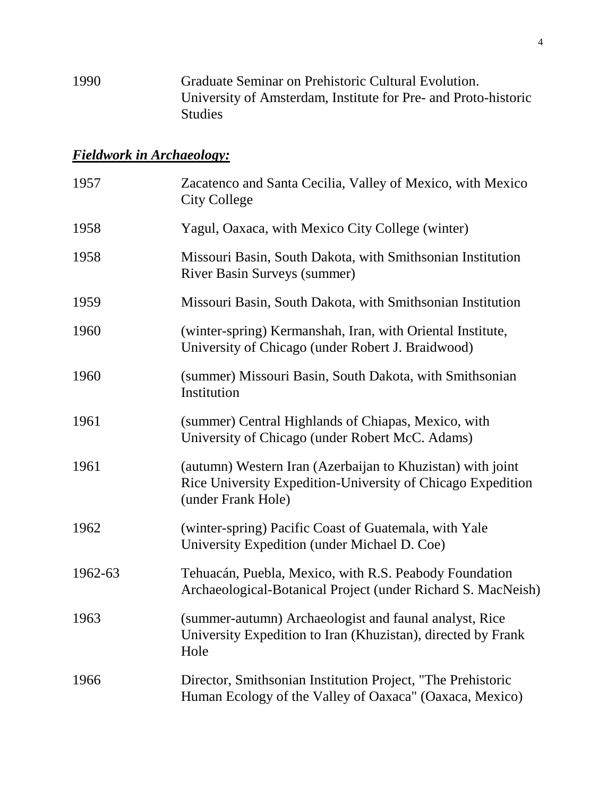1990 Graduate Seminar on Prehistoric Cultural Evolution. University of Amsterdam, Institute for Pre- and Proto-historic Studies

### *Fieldwork in Archaeology:*

| 1957    | Zacatenco and Santa Cecilia, Valley of Mexico, with Mexico<br><b>City College</b>                                                               |
|---------|-------------------------------------------------------------------------------------------------------------------------------------------------|
| 1958    | Yagul, Oaxaca, with Mexico City College (winter)                                                                                                |
| 1958    | Missouri Basin, South Dakota, with Smithsonian Institution<br><b>River Basin Surveys (summer)</b>                                               |
| 1959    | Missouri Basin, South Dakota, with Smithsonian Institution                                                                                      |
| 1960    | (winter-spring) Kermanshah, Iran, with Oriental Institute,<br>University of Chicago (under Robert J. Braidwood)                                 |
| 1960    | (summer) Missouri Basin, South Dakota, with Smithsonian<br>Institution                                                                          |
| 1961    | (summer) Central Highlands of Chiapas, Mexico, with<br>University of Chicago (under Robert McC. Adams)                                          |
| 1961    | (autumn) Western Iran (Azerbaijan to Khuzistan) with joint<br>Rice University Expedition-University of Chicago Expedition<br>(under Frank Hole) |
| 1962    | (winter-spring) Pacific Coast of Guatemala, with Yale<br>University Expedition (under Michael D. Coe)                                           |
| 1962-63 | Tehuacán, Puebla, Mexico, with R.S. Peabody Foundation<br>Archaeological-Botanical Project (under Richard S. MacNeish)                          |
| 1963    | (summer-autumn) Archaeologist and faunal analyst, Rice<br>University Expedition to Iran (Khuzistan), directed by Frank<br>Hole                  |
| 1966    | Director, Smithsonian Institution Project, "The Prehistoric<br>Human Ecology of the Valley of Oaxaca" (Oaxaca, Mexico)                          |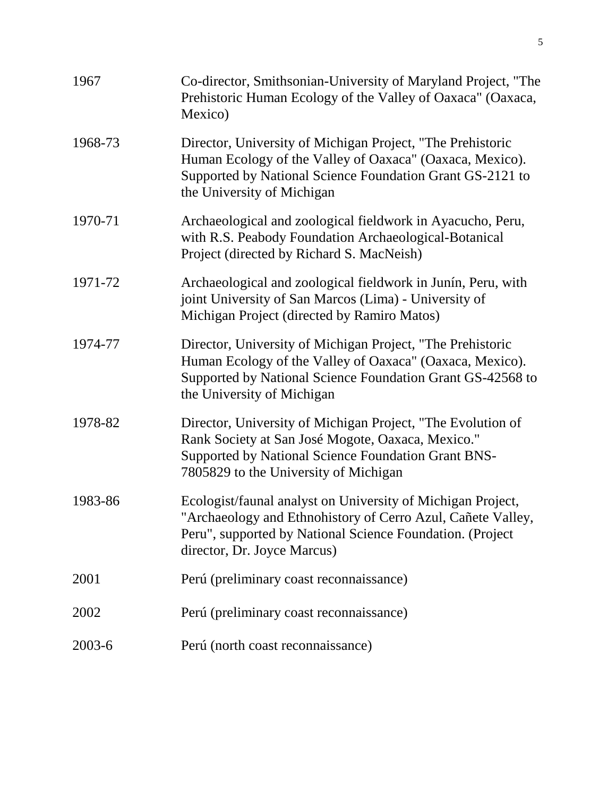| 1967    | Co-director, Smithsonian-University of Maryland Project, "The<br>Prehistoric Human Ecology of the Valley of Oaxaca" (Oaxaca,<br>Mexico)                                                                                |
|---------|------------------------------------------------------------------------------------------------------------------------------------------------------------------------------------------------------------------------|
| 1968-73 | Director, University of Michigan Project, "The Prehistoric<br>Human Ecology of the Valley of Oaxaca" (Oaxaca, Mexico).<br>Supported by National Science Foundation Grant GS-2121 to<br>the University of Michigan      |
| 1970-71 | Archaeological and zoological fieldwork in Ayacucho, Peru,<br>with R.S. Peabody Foundation Archaeological-Botanical<br>Project (directed by Richard S. MacNeish)                                                       |
| 1971-72 | Archaeological and zoological fieldwork in Junín, Peru, with<br>joint University of San Marcos (Lima) - University of<br>Michigan Project (directed by Ramiro Matos)                                                   |
| 1974-77 | Director, University of Michigan Project, "The Prehistoric<br>Human Ecology of the Valley of Oaxaca" (Oaxaca, Mexico).<br>Supported by National Science Foundation Grant GS-42568 to<br>the University of Michigan     |
| 1978-82 | Director, University of Michigan Project, "The Evolution of<br>Rank Society at San José Mogote, Oaxaca, Mexico."<br>Supported by National Science Foundation Grant BNS-<br>7805829 to the University of Michigan       |
| 1983-86 | Ecologist/faunal analyst on University of Michigan Project,<br>"Archaeology and Ethnohistory of Cerro Azul, Cañete Valley,<br>Peru", supported by National Science Foundation. (Project<br>director, Dr. Joyce Marcus) |
| 2001    | Perú (preliminary coast reconnaissance)                                                                                                                                                                                |
| 2002    | Perú (preliminary coast reconnaissance)                                                                                                                                                                                |
| 2003-6  | Perú (north coast reconnaissance)                                                                                                                                                                                      |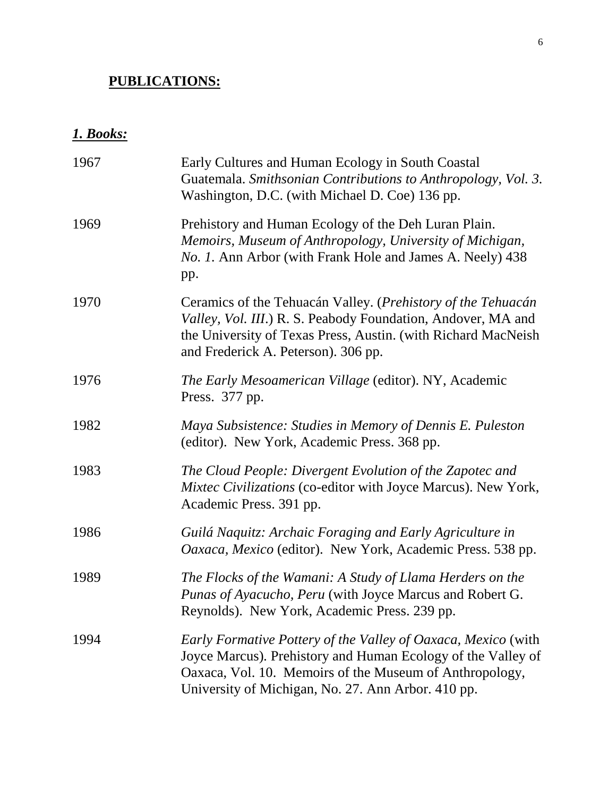# **PUBLICATIONS:**

# *1. Books:*

| 1967 | Early Cultures and Human Ecology in South Coastal<br>Guatemala. Smithsonian Contributions to Anthropology, Vol. 3.<br>Washington, D.C. (with Michael D. Coe) 136 pp.                                                                           |
|------|------------------------------------------------------------------------------------------------------------------------------------------------------------------------------------------------------------------------------------------------|
| 1969 | Prehistory and Human Ecology of the Deh Luran Plain.<br>Memoirs, Museum of Anthropology, University of Michigan,<br><i>No. 1.</i> Ann Arbor (with Frank Hole and James A. Neely) 438<br>pp.                                                    |
| 1970 | Ceramics of the Tehuacán Valley. (Prehistory of the Tehuacán<br>Valley, Vol. III.) R. S. Peabody Foundation, Andover, MA and<br>the University of Texas Press, Austin. (with Richard MacNeish<br>and Frederick A. Peterson). 306 pp.           |
| 1976 | The Early Mesoamerican Village (editor). NY, Academic<br>Press. 377 pp.                                                                                                                                                                        |
| 1982 | Maya Subsistence: Studies in Memory of Dennis E. Puleston<br>(editor). New York, Academic Press. 368 pp.                                                                                                                                       |
| 1983 | The Cloud People: Divergent Evolution of the Zapotec and<br>Mixtec Civilizations (co-editor with Joyce Marcus). New York,<br>Academic Press. 391 pp.                                                                                           |
| 1986 | Guilá Naquitz: Archaic Foraging and Early Agriculture in<br>Oaxaca, Mexico (editor). New York, Academic Press. 538 pp.                                                                                                                         |
| 1989 | The Flocks of the Wamani: A Study of Llama Herders on the<br>Punas of Ayacucho, Peru (with Joyce Marcus and Robert G.<br>Reynolds). New York, Academic Press. 239 pp.                                                                          |
| 1994 | Early Formative Pottery of the Valley of Oaxaca, Mexico (with<br>Joyce Marcus). Prehistory and Human Ecology of the Valley of<br>Oaxaca, Vol. 10. Memoirs of the Museum of Anthropology,<br>University of Michigan, No. 27. Ann Arbor. 410 pp. |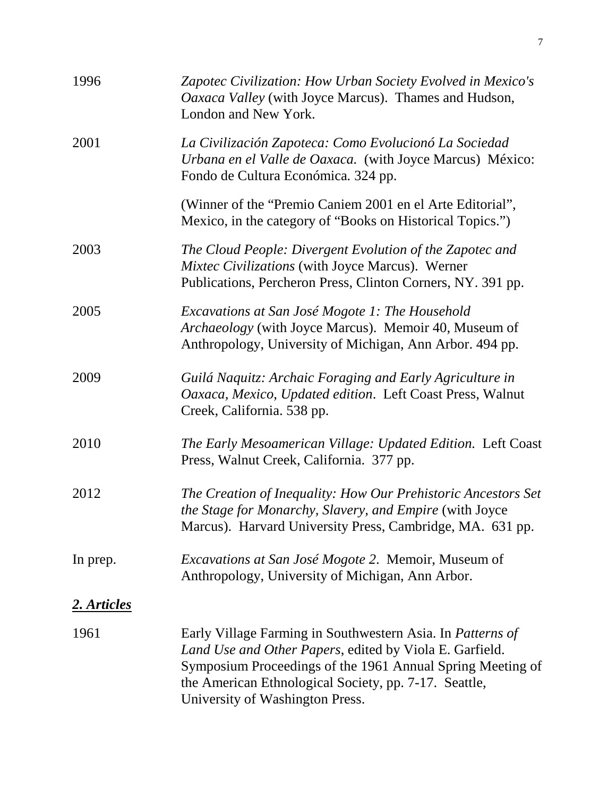| 1996        | Zapotec Civilization: How Urban Society Evolved in Mexico's<br>Oaxaca Valley (with Joyce Marcus). Thames and Hudson,<br>London and New York.                                                                                                                                    |
|-------------|---------------------------------------------------------------------------------------------------------------------------------------------------------------------------------------------------------------------------------------------------------------------------------|
| 2001        | La Civilización Zapoteca: Como Evolucionó La Sociedad<br>Urbana en el Valle de Oaxaca. (with Joyce Marcus) México:<br>Fondo de Cultura Económica. 324 pp.                                                                                                                       |
|             | (Winner of the "Premio Caniem 2001 en el Arte Editorial",<br>Mexico, in the category of "Books on Historical Topics.")                                                                                                                                                          |
| 2003        | The Cloud People: Divergent Evolution of the Zapotec and<br><i>Mixtec Civilizations</i> (with Joyce Marcus). Werner<br>Publications, Percheron Press, Clinton Corners, NY. 391 pp.                                                                                              |
| 2005        | Excavations at San José Mogote 1: The Household<br>Archaeology (with Joyce Marcus). Memoir 40, Museum of<br>Anthropology, University of Michigan, Ann Arbor. 494 pp.                                                                                                            |
| 2009        | Guilá Naquitz: Archaic Foraging and Early Agriculture in<br>Oaxaca, Mexico, Updated edition. Left Coast Press, Walnut<br>Creek, California. 538 pp.                                                                                                                             |
| 2010        | The Early Mesoamerican Village: Updated Edition. Left Coast<br>Press, Walnut Creek, California. 377 pp.                                                                                                                                                                         |
| 2012        | The Creation of Inequality: How Our Prehistoric Ancestors Set<br>the Stage for Monarchy, Slavery, and Empire (with Joyce<br>Marcus). Harvard University Press, Cambridge, MA. 631 pp.                                                                                           |
| In prep.    | <i>Excavations at San José Mogote 2. Memoir, Museum of</i><br>Anthropology, University of Michigan, Ann Arbor.                                                                                                                                                                  |
| 2. Articles |                                                                                                                                                                                                                                                                                 |
| 1961        | Early Village Farming in Southwestern Asia. In Patterns of<br>Land Use and Other Papers, edited by Viola E. Garfield.<br>Symposium Proceedings of the 1961 Annual Spring Meeting of<br>the American Ethnological Society, pp. 7-17. Seattle,<br>University of Washington Press. |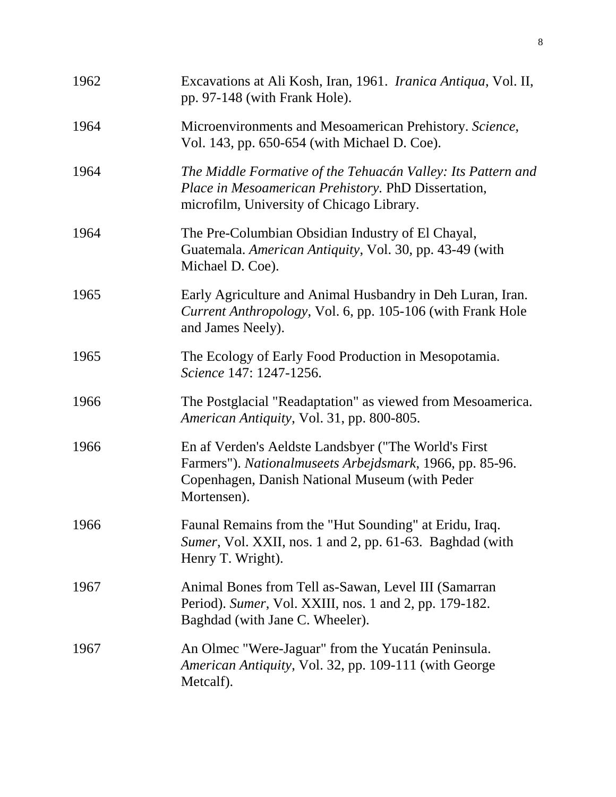| 1962 | Excavations at Ali Kosh, Iran, 1961. <i>Iranica Antiqua</i> , Vol. II,<br>pp. 97-148 (with Frank Hole).                                                                           |
|------|-----------------------------------------------------------------------------------------------------------------------------------------------------------------------------------|
| 1964 | Microenvironments and Mesoamerican Prehistory. Science,<br>Vol. 143, pp. 650-654 (with Michael D. Coe).                                                                           |
| 1964 | The Middle Formative of the Tehuacán Valley: Its Pattern and<br>Place in Mesoamerican Prehistory. PhD Dissertation,<br>microfilm, University of Chicago Library.                  |
| 1964 | The Pre-Columbian Obsidian Industry of El Chayal,<br>Guatemala. American Antiquity, Vol. 30, pp. 43-49 (with<br>Michael D. Coe).                                                  |
| 1965 | Early Agriculture and Animal Husbandry in Deh Luran, Iran.<br>Current Anthropology, Vol. 6, pp. 105-106 (with Frank Hole<br>and James Neely).                                     |
| 1965 | The Ecology of Early Food Production in Mesopotamia.<br>Science 147: 1247-1256.                                                                                                   |
| 1966 | The Postglacial "Readaptation" as viewed from Mesoamerica.<br>American Antiquity, Vol. 31, pp. 800-805.                                                                           |
| 1966 | En af Verden's Aeldste Landsbyer ("The World's First<br>Farmers"). Nationalmuseets Arbejdsmark, 1966, pp. 85-96.<br>Copenhagen, Danish National Museum (with Peder<br>Mortensen). |
| 1966 | Faunal Remains from the "Hut Sounding" at Eridu, Iraq.<br>Sumer, Vol. XXII, nos. 1 and 2, pp. 61-63. Baghdad (with<br>Henry T. Wright).                                           |
| 1967 | Animal Bones from Tell as-Sawan, Level III (Samarran<br>Period). Sumer, Vol. XXIII, nos. 1 and 2, pp. 179-182.<br>Baghdad (with Jane C. Wheeler).                                 |
| 1967 | An Olmec "Were-Jaguar" from the Yucatán Peninsula.<br>American Antiquity, Vol. 32, pp. 109-111 (with George<br>Metcalf).                                                          |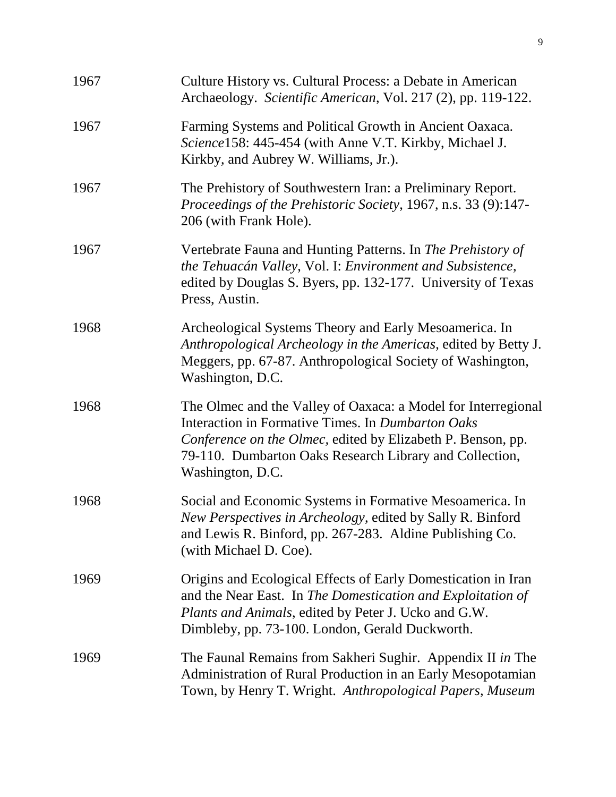| 1967 | Culture History vs. Cultural Process: a Debate in American<br>Archaeology. Scientific American, Vol. 217 (2), pp. 119-122.                                                                                                                                       |
|------|------------------------------------------------------------------------------------------------------------------------------------------------------------------------------------------------------------------------------------------------------------------|
| 1967 | Farming Systems and Political Growth in Ancient Oaxaca.<br>Science158: 445-454 (with Anne V.T. Kirkby, Michael J.<br>Kirkby, and Aubrey W. Williams, Jr.).                                                                                                       |
| 1967 | The Prehistory of Southwestern Iran: a Preliminary Report.<br>Proceedings of the Prehistoric Society, 1967, n.s. 33 (9):147-<br>206 (with Frank Hole).                                                                                                           |
| 1967 | Vertebrate Fauna and Hunting Patterns. In The Prehistory of<br>the Tehuacán Valley, Vol. I: Environment and Subsistence,<br>edited by Douglas S. Byers, pp. 132-177. University of Texas<br>Press, Austin.                                                       |
| 1968 | Archeological Systems Theory and Early Mesoamerica. In<br>Anthropological Archeology in the Americas, edited by Betty J.<br>Meggers, pp. 67-87. Anthropological Society of Washington,<br>Washington, D.C.                                                       |
| 1968 | The Olmec and the Valley of Oaxaca: a Model for Interregional<br>Interaction in Formative Times. In Dumbarton Oaks<br>Conference on the Olmec, edited by Elizabeth P. Benson, pp.<br>79-110. Dumbarton Oaks Research Library and Collection,<br>Washington, D.C. |
| 1968 | Social and Economic Systems in Formative Mesoamerica. In<br>New Perspectives in Archeology, edited by Sally R. Binford<br>and Lewis R. Binford, pp. 267-283. Aldine Publishing Co.<br>(with Michael D. Coe).                                                     |
| 1969 | Origins and Ecological Effects of Early Domestication in Iran<br>and the Near East. In The Domestication and Exploitation of<br>Plants and Animals, edited by Peter J. Ucko and G.W.<br>Dimbleby, pp. 73-100. London, Gerald Duckworth.                          |
| 1969 | The Faunal Remains from Sakheri Sughir. Appendix II in The<br>Administration of Rural Production in an Early Mesopotamian<br>Town, by Henry T. Wright. Anthropological Papers, Museum                                                                            |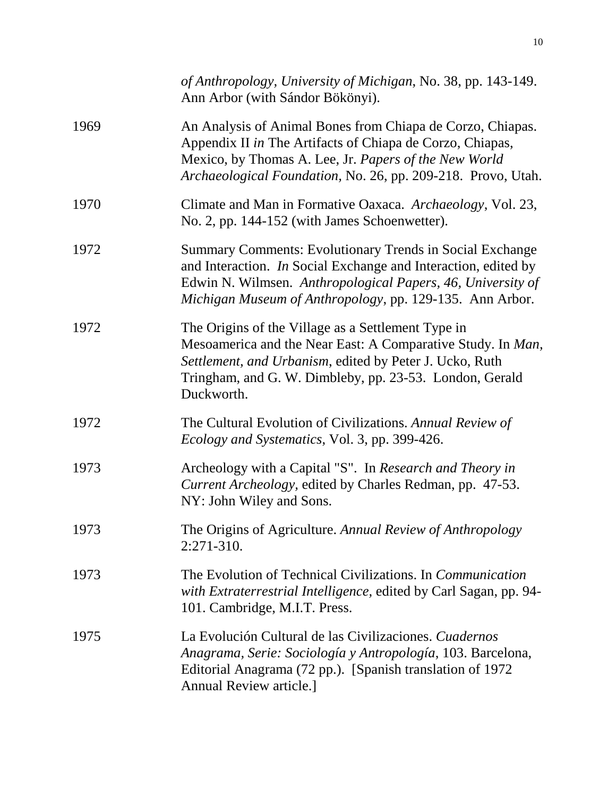|      | of Anthropology, University of Michigan, No. 38, pp. 143-149.<br>Ann Arbor (with Sándor Bökönyi).                                                                                                                                                     |
|------|-------------------------------------------------------------------------------------------------------------------------------------------------------------------------------------------------------------------------------------------------------|
| 1969 | An Analysis of Animal Bones from Chiapa de Corzo, Chiapas.<br>Appendix II in The Artifacts of Chiapa de Corzo, Chiapas,<br>Mexico, by Thomas A. Lee, Jr. Papers of the New World<br>Archaeological Foundation, No. 26, pp. 209-218. Provo, Utah.      |
| 1970 | Climate and Man in Formative Oaxaca. Archaeology, Vol. 23,<br>No. 2, pp. 144-152 (with James Schoenwetter).                                                                                                                                           |
| 1972 | Summary Comments: Evolutionary Trends in Social Exchange<br>and Interaction. In Social Exchange and Interaction, edited by<br>Edwin N. Wilmsen. Anthropological Papers, 46, University of<br>Michigan Museum of Anthropology, pp. 129-135. Ann Arbor. |
| 1972 | The Origins of the Village as a Settlement Type in<br>Mesoamerica and the Near East: A Comparative Study. In Man,<br>Settlement, and Urbanism, edited by Peter J. Ucko, Ruth<br>Tringham, and G. W. Dimbleby, pp. 23-53. London, Gerald<br>Duckworth. |
| 1972 | The Cultural Evolution of Civilizations. Annual Review of<br><i>Ecology and Systematics, Vol. 3, pp. 399-426.</i>                                                                                                                                     |
| 1973 | Archeology with a Capital "S". In Research and Theory in<br>Current Archeology, edited by Charles Redman, pp. 47-53.<br>NY: John Wiley and Sons.                                                                                                      |
| 1973 | The Origins of Agriculture. Annual Review of Anthropology<br>$2:271-310.$                                                                                                                                                                             |
| 1973 | The Evolution of Technical Civilizations. In <i>Communication</i><br>with Extraterrestrial Intelligence, edited by Carl Sagan, pp. 94-<br>101. Cambridge, M.I.T. Press.                                                                               |
| 1975 | La Evolución Cultural de las Civilizaciones. Cuadernos<br>Anagrama, Serie: Sociología y Antropología, 103. Barcelona,<br>Editorial Anagrama (72 pp.). [Spanish translation of 1972]<br><b>Annual Review article.]</b>                                 |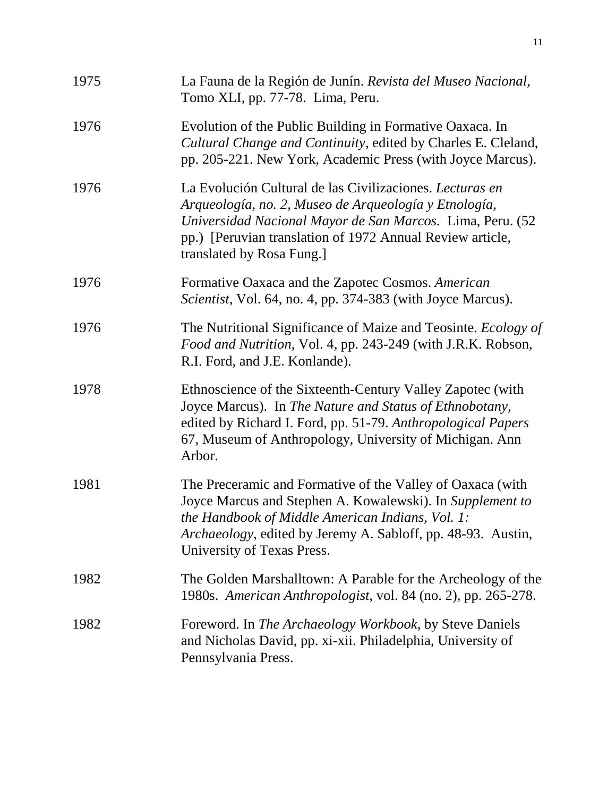| 1975 | La Fauna de la Región de Junín. Revista del Museo Nacional,<br>Tomo XLI, pp. 77-78. Lima, Peru.                                                                                                                                                                           |
|------|---------------------------------------------------------------------------------------------------------------------------------------------------------------------------------------------------------------------------------------------------------------------------|
| 1976 | Evolution of the Public Building in Formative Oaxaca. In<br>Cultural Change and Continuity, edited by Charles E. Cleland,<br>pp. 205-221. New York, Academic Press (with Joyce Marcus).                                                                                   |
| 1976 | La Evolución Cultural de las Civilizaciones. Lecturas en<br>Arqueología, no. 2, Museo de Arqueología y Etnología,<br>Universidad Nacional Mayor de San Marcos. Lima, Peru. (52<br>pp.) [Peruvian translation of 1972 Annual Review article,<br>translated by Rosa Fung.]  |
| 1976 | Formative Oaxaca and the Zapotec Cosmos. American<br>Scientist, Vol. 64, no. 4, pp. 374-383 (with Joyce Marcus).                                                                                                                                                          |
| 1976 | The Nutritional Significance of Maize and Teosinte. <i>Ecology of</i><br>Food and Nutrition, Vol. 4, pp. 243-249 (with J.R.K. Robson,<br>R.I. Ford, and J.E. Konlande).                                                                                                   |
| 1978 | Ethnoscience of the Sixteenth-Century Valley Zapotec (with<br>Joyce Marcus). In The Nature and Status of Ethnobotany,<br>edited by Richard I. Ford, pp. 51-79. Anthropological Papers<br>67, Museum of Anthropology, University of Michigan. Ann<br>Arbor.                |
| 1981 | The Preceramic and Formative of the Valley of Oaxaca (with<br>Joyce Marcus and Stephen A. Kowalewski). In Supplement to<br>the Handbook of Middle American Indians, Vol. 1:<br>Archaeology, edited by Jeremy A. Sabloff, pp. 48-93. Austin,<br>University of Texas Press. |
| 1982 | The Golden Marshalltown: A Parable for the Archeology of the<br>1980s. American Anthropologist, vol. 84 (no. 2), pp. 265-278.                                                                                                                                             |
| 1982 | Foreword. In <i>The Archaeology Workbook</i> , by Steve Daniels<br>and Nicholas David, pp. xi-xii. Philadelphia, University of<br>Pennsylvania Press.                                                                                                                     |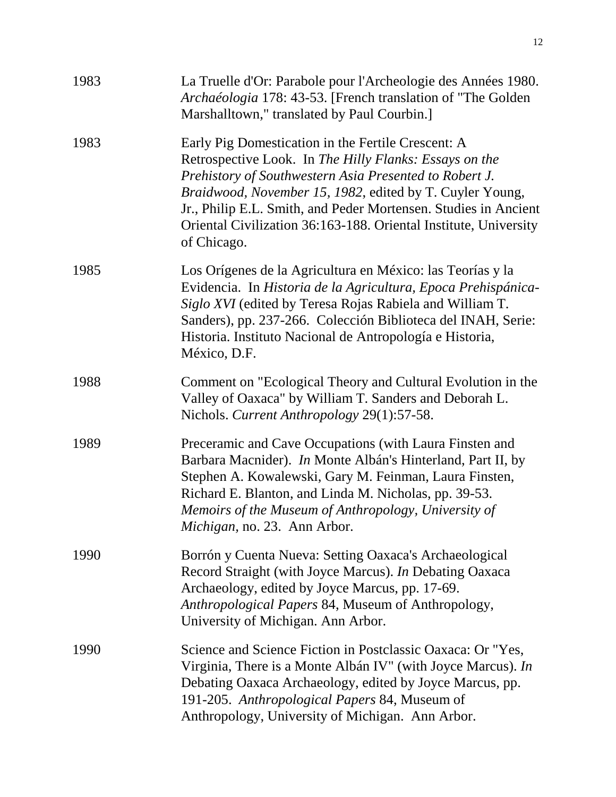| 1983 | La Truelle d'Or: Parabole pour l'Archeologie des Années 1980.<br>Archaéologia 178: 43-53. [French translation of "The Golden<br>Marshalltown," translated by Paul Courbin.]                                                                                                                                                                                                              |
|------|------------------------------------------------------------------------------------------------------------------------------------------------------------------------------------------------------------------------------------------------------------------------------------------------------------------------------------------------------------------------------------------|
| 1983 | Early Pig Domestication in the Fertile Crescent: A<br>Retrospective Look. In The Hilly Flanks: Essays on the<br>Prehistory of Southwestern Asia Presented to Robert J.<br>Braidwood, November 15, 1982, edited by T. Cuyler Young,<br>Jr., Philip E.L. Smith, and Peder Mortensen. Studies in Ancient<br>Oriental Civilization 36:163-188. Oriental Institute, University<br>of Chicago. |
| 1985 | Los Orígenes de la Agricultura en México: las Teorías y la<br>Evidencia. In Historia de la Agricultura, Epoca Prehispánica-<br>Siglo XVI (edited by Teresa Rojas Rabiela and William T.<br>Sanders), pp. 237-266. Colección Biblioteca del INAH, Serie:<br>Historia. Instituto Nacional de Antropología e Historia,<br>México, D.F.                                                      |
| 1988 | Comment on "Ecological Theory and Cultural Evolution in the<br>Valley of Oaxaca" by William T. Sanders and Deborah L.<br>Nichols. Current Anthropology 29(1):57-58.                                                                                                                                                                                                                      |
| 1989 | Preceramic and Cave Occupations (with Laura Finsten and<br>Barbara Macnider). <i>In</i> Monte Albán's Hinterland, Part II, by<br>Stephen A. Kowalewski, Gary M. Feinman, Laura Finsten,<br>Richard E. Blanton, and Linda M. Nicholas, pp. 39-53.<br>Memoirs of the Museum of Anthropology, University of<br>Michigan, no. 23. Ann Arbor.                                                 |
| 1990 | Borrón y Cuenta Nueva: Setting Oaxaca's Archaeological<br>Record Straight (with Joyce Marcus). In Debating Oaxaca<br>Archaeology, edited by Joyce Marcus, pp. 17-69.<br>Anthropological Papers 84, Museum of Anthropology,<br>University of Michigan. Ann Arbor.                                                                                                                         |
| 1990 | Science and Science Fiction in Postclassic Oaxaca: Or "Yes,<br>Virginia, There is a Monte Albán IV" (with Joyce Marcus). In<br>Debating Oaxaca Archaeology, edited by Joyce Marcus, pp.<br>191-205. Anthropological Papers 84, Museum of<br>Anthropology, University of Michigan. Ann Arbor.                                                                                             |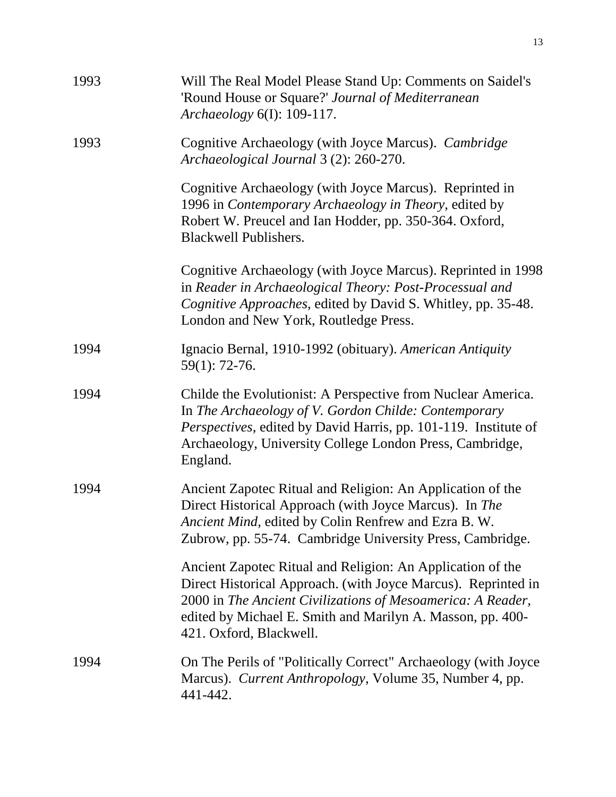| 1993 | Will The Real Model Please Stand Up: Comments on Saidel's<br>'Round House or Square?' Journal of Mediterranean<br>Archaeology 6(I): 109-117.                                                                                                                                        |
|------|-------------------------------------------------------------------------------------------------------------------------------------------------------------------------------------------------------------------------------------------------------------------------------------|
| 1993 | Cognitive Archaeology (with Joyce Marcus). Cambridge<br>Archaeological Journal 3 (2): 260-270.                                                                                                                                                                                      |
|      | Cognitive Archaeology (with Joyce Marcus). Reprinted in<br>1996 in Contemporary Archaeology in Theory, edited by<br>Robert W. Preucel and Ian Hodder, pp. 350-364. Oxford,<br><b>Blackwell Publishers.</b>                                                                          |
|      | Cognitive Archaeology (with Joyce Marcus). Reprinted in 1998<br>in Reader in Archaeological Theory: Post-Processual and<br>Cognitive Approaches, edited by David S. Whitley, pp. 35-48.<br>London and New York, Routledge Press.                                                    |
| 1994 | Ignacio Bernal, 1910-1992 (obituary). American Antiquity<br>59(1): 72-76.                                                                                                                                                                                                           |
| 1994 | Childe the Evolutionist: A Perspective from Nuclear America.<br>In The Archaeology of V. Gordon Childe: Contemporary<br>Perspectives, edited by David Harris, pp. 101-119. Institute of<br>Archaeology, University College London Press, Cambridge,<br>England.                     |
| 1994 | Ancient Zapotec Ritual and Religion: An Application of the<br>Direct Historical Approach (with Joyce Marcus). In The<br>Ancient Mind, edited by Colin Renfrew and Ezra B. W.<br>Zubrow, pp. 55-74. Cambridge University Press, Cambridge.                                           |
|      | Ancient Zapotec Ritual and Religion: An Application of the<br>Direct Historical Approach. (with Joyce Marcus). Reprinted in<br>2000 in The Ancient Civilizations of Mesoamerica: A Reader,<br>edited by Michael E. Smith and Marilyn A. Masson, pp. 400-<br>421. Oxford, Blackwell. |
| 1994 | On The Perils of "Politically Correct" Archaeology (with Joyce<br>Marcus). Current Anthropology, Volume 35, Number 4, pp.<br>441-442.                                                                                                                                               |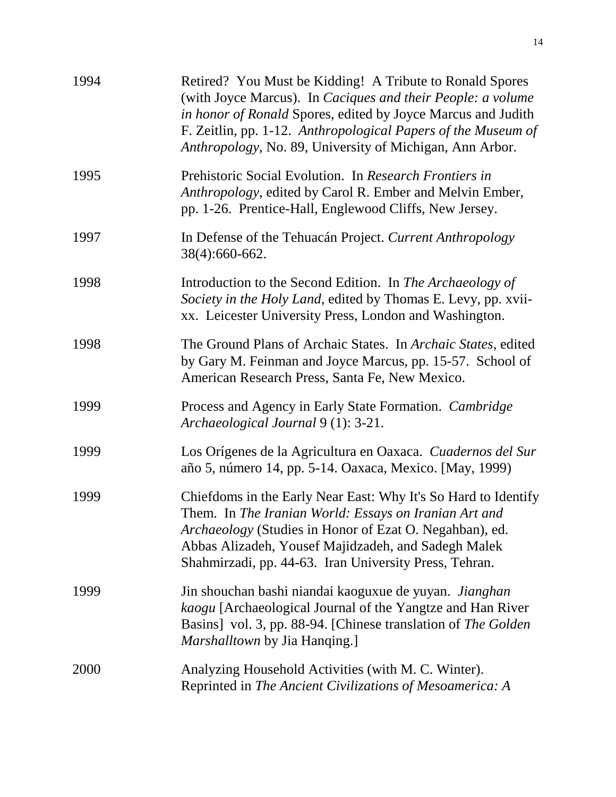| 1994 | Retired? You Must be Kidding! A Tribute to Ronald Spores<br>(with Joyce Marcus). In Caciques and their People: a volume<br>in honor of Ronald Spores, edited by Joyce Marcus and Judith<br>F. Zeitlin, pp. 1-12. Anthropological Papers of the Museum of<br>Anthropology, No. 89, University of Michigan, Ann Arbor. |
|------|----------------------------------------------------------------------------------------------------------------------------------------------------------------------------------------------------------------------------------------------------------------------------------------------------------------------|
| 1995 | Prehistoric Social Evolution. In Research Frontiers in<br>Anthropology, edited by Carol R. Ember and Melvin Ember,<br>pp. 1-26. Prentice-Hall, Englewood Cliffs, New Jersey.                                                                                                                                         |
| 1997 | In Defense of the Tehuacán Project. Current Anthropology<br>38(4):660-662.                                                                                                                                                                                                                                           |
| 1998 | Introduction to the Second Edition. In The Archaeology of<br>Society in the Holy Land, edited by Thomas E. Levy, pp. xvii-<br>xx. Leicester University Press, London and Washington.                                                                                                                                 |
| 1998 | The Ground Plans of Archaic States. In Archaic States, edited<br>by Gary M. Feinman and Joyce Marcus, pp. 15-57. School of<br>American Research Press, Santa Fe, New Mexico.                                                                                                                                         |
| 1999 | Process and Agency in Early State Formation. Cambridge<br>Archaeological Journal 9 (1): 3-21.                                                                                                                                                                                                                        |
| 1999 | Los Orígenes de la Agricultura en Oaxaca. Cuadernos del Sur<br>año 5, número 14, pp. 5-14. Oaxaca, Mexico. [May, 1999)                                                                                                                                                                                               |
| 1999 | Chiefdoms in the Early Near East: Why It's So Hard to Identify<br>Them. In The Iranian World: Essays on Iranian Art and<br>Archaeology (Studies in Honor of Ezat O. Negahban), ed.<br>Abbas Alizadeh, Yousef Majidzadeh, and Sadegh Malek<br>Shahmirzadi, pp. 44-63. Iran University Press, Tehran.                  |
| 1999 | Jin shouchan bashi niandai kaoguxue de yuyan. Jianghan<br>kaogu [Archaeological Journal of the Yangtze and Han River<br>Basins] vol. 3, pp. 88-94. [Chinese translation of The Golden<br><i>Marshalltown</i> by Jia Hanqing.]                                                                                        |
| 2000 | Analyzing Household Activities (with M. C. Winter).<br>Reprinted in The Ancient Civilizations of Mesoamerica: A                                                                                                                                                                                                      |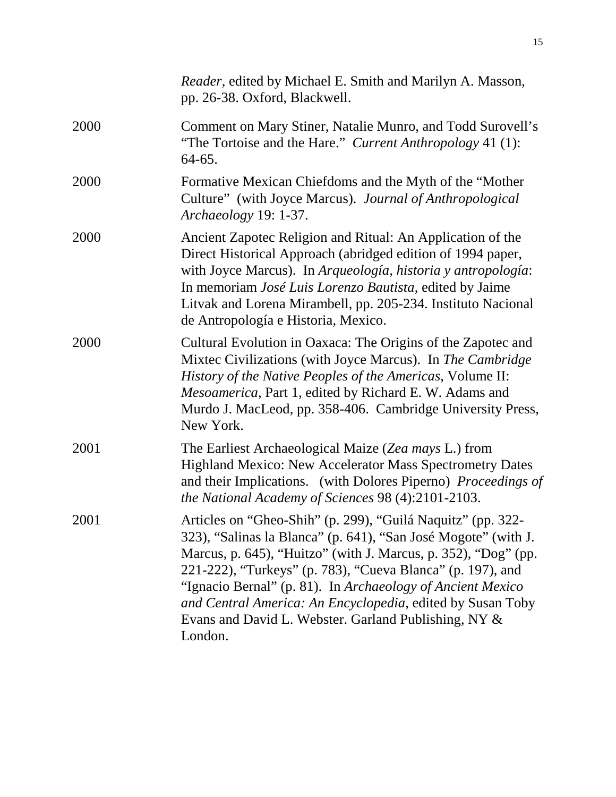|      | Reader, edited by Michael E. Smith and Marilyn A. Masson,<br>pp. 26-38. Oxford, Blackwell.                                                                                                                                                                                                                                                                                                                                                                   |
|------|--------------------------------------------------------------------------------------------------------------------------------------------------------------------------------------------------------------------------------------------------------------------------------------------------------------------------------------------------------------------------------------------------------------------------------------------------------------|
| 2000 | Comment on Mary Stiner, Natalie Munro, and Todd Surovell's<br>"The Tortoise and the Hare." Current Anthropology 41 (1):<br>$64-65.$                                                                                                                                                                                                                                                                                                                          |
| 2000 | Formative Mexican Chiefdoms and the Myth of the "Mother"<br>Culture" (with Joyce Marcus). Journal of Anthropological<br>Archaeology 19: 1-37.                                                                                                                                                                                                                                                                                                                |
| 2000 | Ancient Zapotec Religion and Ritual: An Application of the<br>Direct Historical Approach (abridged edition of 1994 paper,<br>with Joyce Marcus). In Arqueología, historia y antropología:<br>In memoriam <i>José Luis Lorenzo Bautista</i> , edited by Jaime<br>Litvak and Lorena Mirambell, pp. 205-234. Instituto Nacional<br>de Antropología e Historia, Mexico.                                                                                          |
| 2000 | Cultural Evolution in Oaxaca: The Origins of the Zapotec and<br>Mixtec Civilizations (with Joyce Marcus). In The Cambridge<br>History of the Native Peoples of the Americas, Volume II:<br>Mesoamerica, Part 1, edited by Richard E. W. Adams and<br>Murdo J. MacLeod, pp. 358-406. Cambridge University Press,<br>New York.                                                                                                                                 |
| 2001 | The Earliest Archaeological Maize (Zea mays L.) from<br>Highland Mexico: New Accelerator Mass Spectrometry Dates<br>and their Implications. (with Dolores Piperno) Proceedings of<br><i>the National Academy of Sciences 98 (4):2101-2103.</i>                                                                                                                                                                                                               |
| 2001 | Articles on "Gheo-Shih" (p. 299), "Guilá Naquitz" (pp. 322-<br>323), "Salinas la Blanca" (p. 641), "San José Mogote" (with J.<br>Marcus, p. 645), "Huitzo" (with J. Marcus, p. 352), "Dog" (pp.<br>221-222), "Turkeys" (p. 783), "Cueva Blanca" (p. 197), and<br>"Ignacio Bernal" (p. 81). In Archaeology of Ancient Mexico<br>and Central America: An Encyclopedia, edited by Susan Toby<br>Evans and David L. Webster. Garland Publishing, NY &<br>London. |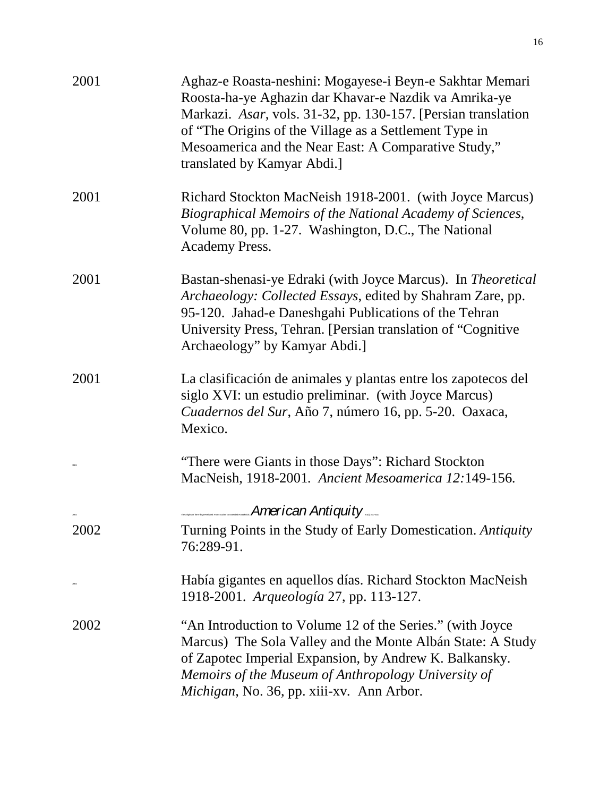| 2001          | Aghaz-e Roasta-neshini: Mogayese-i Beyn-e Sakhtar Memari<br>Roosta-ha-ye Aghazin dar Khavar-e Nazdik va Amrika-ye<br>Markazi. Asar, vols. 31-32, pp. 130-157. [Persian translation]<br>of "The Origins of the Village as a Settlement Type in<br>Mesoamerica and the Near East: A Comparative Study,"<br>translated by Kamyar Abdi.] |
|---------------|--------------------------------------------------------------------------------------------------------------------------------------------------------------------------------------------------------------------------------------------------------------------------------------------------------------------------------------|
| 2001          | Richard Stockton MacNeish 1918-2001. (with Joyce Marcus)<br>Biographical Memoirs of the National Academy of Sciences,<br>Volume 80, pp. 1-27. Washington, D.C., The National<br>Academy Press.                                                                                                                                       |
| 2001          | Bastan-shenasi-ye Edraki (with Joyce Marcus). In Theoretical<br>Archaeology: Collected Essays, edited by Shahram Zare, pp.<br>95-120. Jahad-e Daneshgahi Publications of the Tehran<br>University Press, Tehran. [Persian translation of "Cognitive"<br>Archaeology" by Kamyar Abdi.]                                                |
| 2001          | La clasificación de animales y plantas entre los zapotecos del<br>siglo XVI: un estudio preliminar. (with Joyce Marcus)<br>Cuadernos del Sur, Año 7, número 16, pp. 5-20. Oaxaca,<br>Mexico.                                                                                                                                         |
|               | "There were Giants in those Days": Richard Stockton<br>MacNeish, 1918-2001. Ancient Mesoamerica 12:149-156.                                                                                                                                                                                                                          |
| $_{\rm zero}$ | <b>American Antiquity</b>                                                                                                                                                                                                                                                                                                            |
| 2002          | Turning Points in the Study of Early Domestication. Antiquity<br>76:289-91.                                                                                                                                                                                                                                                          |
|               | Había gigantes en aquellos días. Richard Stockton MacNeish<br>1918-2001. Arqueología 27, pp. 113-127.                                                                                                                                                                                                                                |
| 2002          | "An Introduction to Volume 12 of the Series." (with Joyce<br>Marcus) The Sola Valley and the Monte Albán State: A Study<br>of Zapotec Imperial Expansion, by Andrew K. Balkansky.<br>Memoirs of the Museum of Anthropology University of<br>Michigan, No. 36, pp. xiii-xv. Ann Arbor.                                                |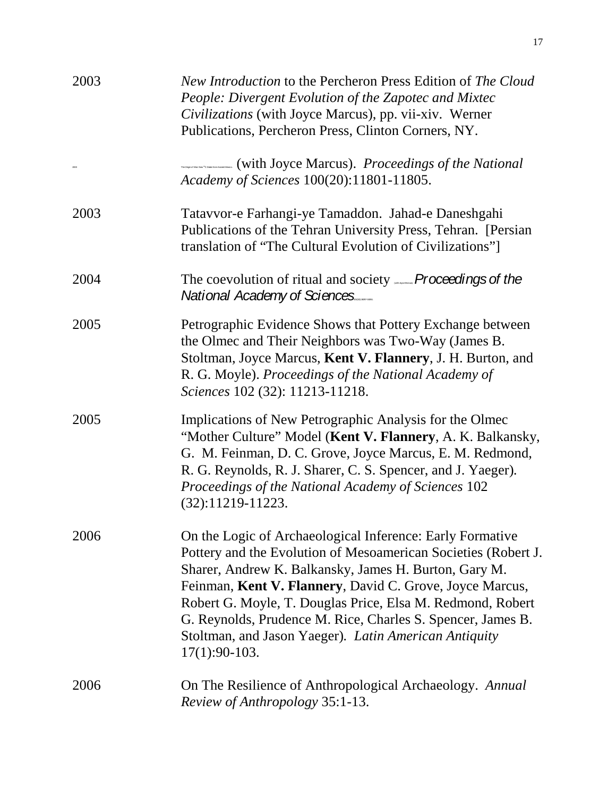| 2003 | New Introduction to the Percheron Press Edition of The Cloud<br>People: Divergent Evolution of the Zapotec and Mixtec<br>Civilizations (with Joyce Marcus), pp. vii-xiv. Werner<br>Publications, Percheron Press, Clinton Corners, NY.                                                                                                                                                                                                                    |
|------|-----------------------------------------------------------------------------------------------------------------------------------------------------------------------------------------------------------------------------------------------------------------------------------------------------------------------------------------------------------------------------------------------------------------------------------------------------------|
|      | with Joyce Marcus). Proceedings of the National<br>Academy of Sciences 100(20):11801-11805.                                                                                                                                                                                                                                                                                                                                                               |
| 2003 | Tatavvor-e Farhangi-ye Tamaddon. Jahad-e Daneshgahi<br>Publications of the Tehran University Press, Tehran. [Persian]<br>translation of "The Cultural Evolution of Civilizations"]                                                                                                                                                                                                                                                                        |
| 2004 | The coevolution of ritual and society <b>Proceedings of the</b><br>National Academy of Sciences                                                                                                                                                                                                                                                                                                                                                           |
| 2005 | Petrographic Evidence Shows that Pottery Exchange between<br>the Olmec and Their Neighbors was Two-Way (James B.<br>Stoltman, Joyce Marcus, Kent V. Flannery, J. H. Burton, and<br>R. G. Moyle). Proceedings of the National Academy of<br>Sciences 102 (32): 11213-11218.                                                                                                                                                                                |
| 2005 | Implications of New Petrographic Analysis for the Olmec<br>"Mother Culture" Model (Kent V. Flannery, A. K. Balkansky,<br>G. M. Feinman, D. C. Grove, Joyce Marcus, E. M. Redmond,<br>R. G. Reynolds, R. J. Sharer, C. S. Spencer, and J. Yaeger).<br>Proceedings of the National Academy of Sciences 102<br>$(32):11219-11223.$                                                                                                                           |
| 2006 | On the Logic of Archaeological Inference: Early Formative<br>Pottery and the Evolution of Mesoamerican Societies (Robert J.<br>Sharer, Andrew K. Balkansky, James H. Burton, Gary M.<br>Feinman, Kent V. Flannery, David C. Grove, Joyce Marcus,<br>Robert G. Moyle, T. Douglas Price, Elsa M. Redmond, Robert<br>G. Reynolds, Prudence M. Rice, Charles S. Spencer, James B.<br>Stoltman, and Jason Yaeger). Latin American Antiquity<br>$17(1):90-103.$ |
| 2006 | On The Resilience of Anthropological Archaeology. Annual<br>Review of Anthropology 35:1-13.                                                                                                                                                                                                                                                                                                                                                               |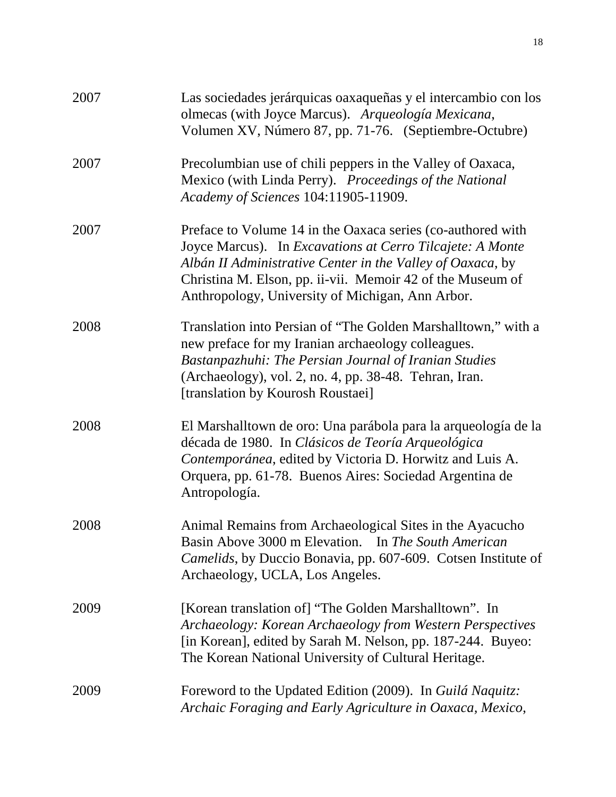| 2007 | Las sociedades jerárquicas oaxaqueñas y el intercambio con los<br>olmecas (with Joyce Marcus). Arqueología Mexicana,<br>Volumen XV, Número 87, pp. 71-76. (Septiembre-Octubre)                                                                                                                           |
|------|----------------------------------------------------------------------------------------------------------------------------------------------------------------------------------------------------------------------------------------------------------------------------------------------------------|
| 2007 | Precolumbian use of chili peppers in the Valley of Oaxaca,<br>Mexico (with Linda Perry). Proceedings of the National<br>Academy of Sciences 104:11905-11909.                                                                                                                                             |
| 2007 | Preface to Volume 14 in the Oaxaca series (co-authored with<br>Joyce Marcus). In Excavations at Cerro Tilcajete: A Monte<br>Albán II Administrative Center in the Valley of Oaxaca, by<br>Christina M. Elson, pp. ii-vii. Memoir 42 of the Museum of<br>Anthropology, University of Michigan, Ann Arbor. |
| 2008 | Translation into Persian of "The Golden Marshalltown," with a<br>new preface for my Iranian archaeology colleagues.<br>Bastanpazhuhi: The Persian Journal of Iranian Studies<br>(Archaeology), vol. 2, no. 4, pp. 38-48. Tehran, Iran.<br>[translation by Kourosh Roustaei]                              |
| 2008 | El Marshalltown de oro: Una parábola para la arqueología de la<br>década de 1980. In Clásicos de Teoría Arqueológica<br>Contemporánea, edited by Victoria D. Horwitz and Luis A.<br>Orquera, pp. 61-78. Buenos Aires: Sociedad Argentina de<br>Antropología.                                             |
| 2008 | Animal Remains from Archaeological Sites in the Ayacucho<br>Basin Above 3000 m Elevation. In The South American<br>Camelids, by Duccio Bonavia, pp. 607-609. Cotsen Institute of<br>Archaeology, UCLA, Los Angeles.                                                                                      |
| 2009 | [Korean translation of] "The Golden Marshalltown". In<br>Archaeology: Korean Archaeology from Western Perspectives<br>[in Korean], edited by Sarah M. Nelson, pp. 187-244. Buyeo:<br>The Korean National University of Cultural Heritage.                                                                |
| 2009 | Foreword to the Updated Edition (2009). In Guilá Naquitz:<br>Archaic Foraging and Early Agriculture in Oaxaca, Mexico,                                                                                                                                                                                   |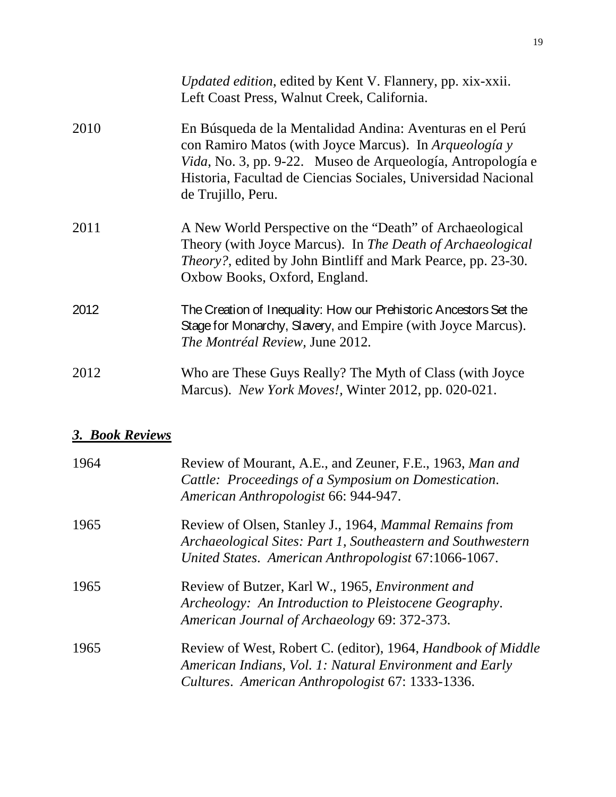|      | Updated edition, edited by Kent V. Flannery, pp. xix-xxii.<br>Left Coast Press, Walnut Creek, California.                                                                                                                                                                         |
|------|-----------------------------------------------------------------------------------------------------------------------------------------------------------------------------------------------------------------------------------------------------------------------------------|
| 2010 | En Búsqueda de la Mentalidad Andina: Aventuras en el Perú<br>con Ramiro Matos (with Joyce Marcus). In Arqueología y<br><i>Vida</i> , No. 3, pp. 9-22. Museo de Arqueología, Antropología e<br>Historia, Facultad de Ciencias Sociales, Universidad Nacional<br>de Trujillo, Peru. |
| 2011 | A New World Perspective on the "Death" of Archaeological<br>Theory (with Joyce Marcus). In The Death of Archaeological<br><i>Theory?</i> , edited by John Bintliff and Mark Pearce, pp. 23-30.<br>Oxbow Books, Oxford, England.                                                   |
| 2012 | The Creation of Inequality: How our Prehistoric Ancestors Set the<br>Stage for Monarchy, Slavery, and Empire (with Joyce Marcus).<br><i>The Montréal Review</i> , June 2012.                                                                                                      |
| 2012 | Who are These Guys Really? The Myth of Class (with Joyce<br>Marcus). New York Moves!, Winter 2012, pp. 020-021.                                                                                                                                                                   |

# *3. Book Reviews*

| 1964 | Review of Mourant, A.E., and Zeuner, F.E., 1963, Man and<br>Cattle: Proceedings of a Symposium on Domestication.<br>American Anthropologist 66: 944-947.                      |
|------|-------------------------------------------------------------------------------------------------------------------------------------------------------------------------------|
| 1965 | Review of Olsen, Stanley J., 1964, Mammal Remains from<br>Archaeological Sites: Part 1, Southeastern and Southwestern<br>United States. American Anthropologist 67:1066-1067. |
| 1965 | Review of Butzer, Karl W., 1965, <i>Environment and</i><br>Archeology: An Introduction to Pleistocene Geography.<br>American Journal of Archaeology 69: 372-373.              |
| 1965 | Review of West, Robert C. (editor), 1964, Handbook of Middle<br>American Indians, Vol. 1: Natural Environment and Early<br>Cultures. American Anthropologist 67: 1333-1336.   |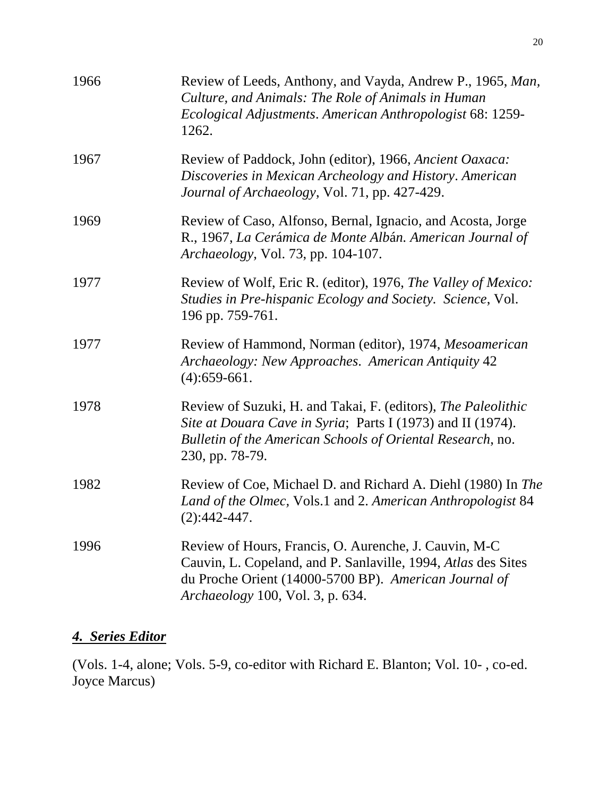| 1966 | Review of Leeds, Anthony, and Vayda, Andrew P., 1965, Man,<br>Culture, and Animals: The Role of Animals in Human<br>Ecological Adjustments. American Anthropologist 68: 1259-<br>1262.                              |
|------|---------------------------------------------------------------------------------------------------------------------------------------------------------------------------------------------------------------------|
| 1967 | Review of Paddock, John (editor), 1966, Ancient Oaxaca:<br>Discoveries in Mexican Archeology and History. American<br>Journal of Archaeology, Vol. 71, pp. 427-429.                                                 |
| 1969 | Review of Caso, Alfonso, Bernal, Ignacio, and Acosta, Jorge<br>R., 1967, La Cerámica de Monte Albán. American Journal of<br>Archaeology, Vol. 73, pp. 104-107.                                                      |
| 1977 | Review of Wolf, Eric R. (editor), 1976, The Valley of Mexico:<br>Studies in Pre-hispanic Ecology and Society. Science, Vol.<br>196 pp. 759-761.                                                                     |
| 1977 | Review of Hammond, Norman (editor), 1974, Mesoamerican<br>Archaeology: New Approaches. American Antiquity 42<br>$(4): 659-661.$                                                                                     |
| 1978 | Review of Suzuki, H. and Takai, F. (editors), The Paleolithic<br>Site at Douara Cave in Syria; Parts I (1973) and II (1974).<br>Bulletin of the American Schools of Oriental Research, no.<br>230, pp. 78-79.       |
| 1982 | Review of Coe, Michael D. and Richard A. Diehl (1980) In The<br>Land of the Olmec, Vols.1 and 2. American Anthropologist 84<br>$(2):442-447.$                                                                       |
| 1996 | Review of Hours, Francis, O. Aurenche, J. Cauvin, M-C<br>Cauvin, L. Copeland, and P. Sanlaville, 1994, Atlas des Sites<br>du Proche Orient (14000-5700 BP). American Journal of<br>Archaeology 100, Vol. 3, p. 634. |

### *4. Series Editor*

(Vols. 1-4, alone; Vols. 5-9, co-editor with Richard E. Blanton; Vol. 10- , co-ed. Joyce Marcus)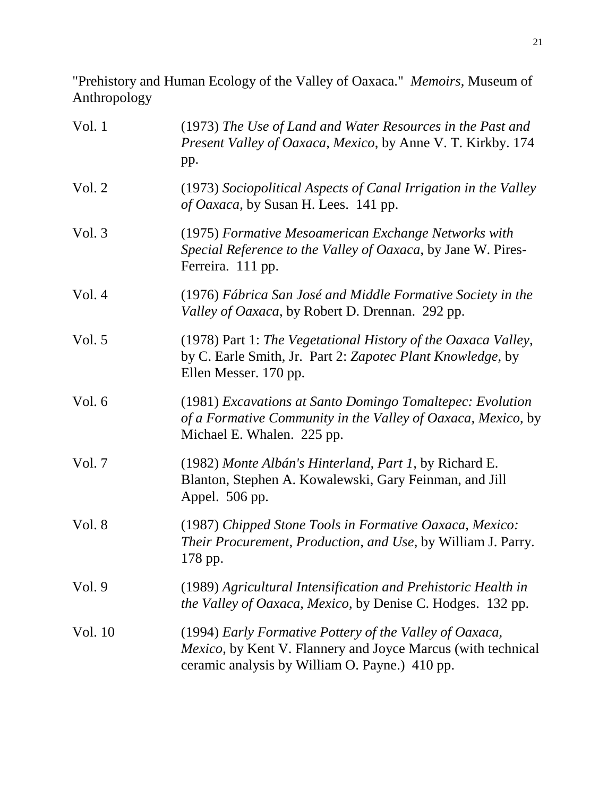"Prehistory and Human Ecology of the Valley of Oaxaca." *Memoirs*, Museum of Anthropology

| Vol. 1   | (1973) The Use of Land and Water Resources in the Past and<br>Present Valley of Oaxaca, Mexico, by Anne V. T. Kirkby. 174<br>pp.                                                  |
|----------|-----------------------------------------------------------------------------------------------------------------------------------------------------------------------------------|
| Vol. 2   | (1973) Sociopolitical Aspects of Canal Irrigation in the Valley<br>of Oaxaca, by Susan H. Lees. 141 pp.                                                                           |
| Vol.3    | (1975) Formative Mesoamerican Exchange Networks with<br>Special Reference to the Valley of Oaxaca, by Jane W. Pires-<br>Ferreira. 111 pp.                                         |
| Vol.4    | (1976) Fábrica San José and Middle Formative Society in the<br>Valley of Oaxaca, by Robert D. Drennan. 292 pp.                                                                    |
| Vol. $5$ | (1978) Part 1: The Vegetational History of the Oaxaca Valley,<br>by C. Earle Smith, Jr. Part 2: Zapotec Plant Knowledge, by<br>Ellen Messer. 170 pp.                              |
| Vol. 6   | (1981) Excavations at Santo Domingo Tomaltepec: Evolution<br>of a Formative Community in the Valley of Oaxaca, Mexico, by<br>Michael E. Whalen. 225 pp.                           |
| Vol. 7   | (1982) Monte Albán's Hinterland, Part 1, by Richard E.<br>Blanton, Stephen A. Kowalewski, Gary Feinman, and Jill<br>Appel. 506 pp.                                                |
| Vol. 8   | (1987) Chipped Stone Tools in Formative Oaxaca, Mexico:<br><i>Their Procurement, Production, and Use, by William J. Parry.</i><br>178 pp.                                         |
| Vol.9    | (1989) Agricultural Intensification and Prehistoric Health in<br><i>the Valley of Oaxaca, Mexico, by Denise C. Hodges.</i> 132 pp.                                                |
| Vol. 10  | (1994) Early Formative Pottery of the Valley of Oaxaca,<br><i>Mexico</i> , by Kent V. Flannery and Joyce Marcus (with technical<br>ceramic analysis by William O. Payne.) 410 pp. |